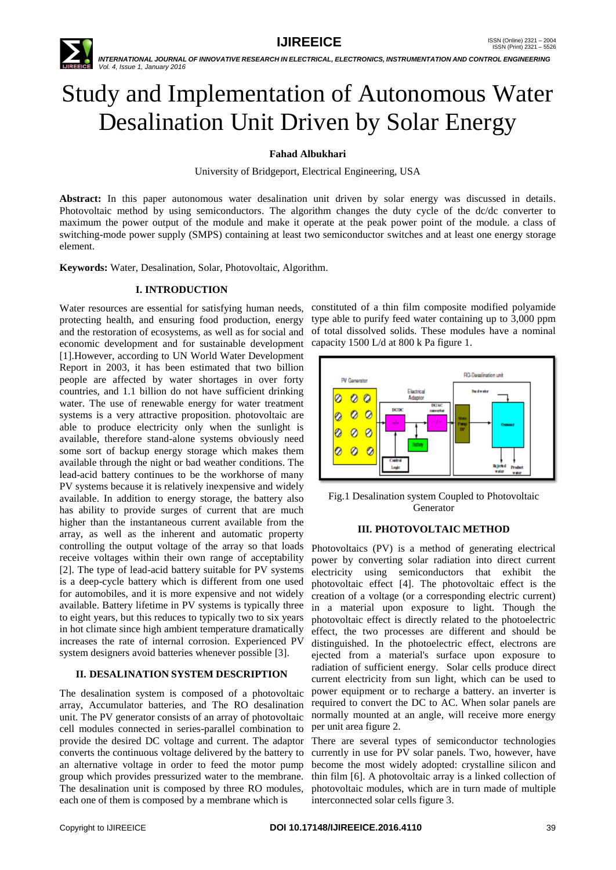

 *INTERNATIONAL JOURNAL OF INNOVATIVE RESEARCH IN ELECTRICAL, ELECTRONICS, INSTRUMENTATION AND CONTROL ENGINEERING Vol. 4, Issue 1, January 2016*

# Study and Implementation of Autonomous Water Desalination Unit Driven by Solar Energy

## **Fahad Albukhari**

University of Bridgeport, Electrical Engineering, USA

**Abstract:** In this paper autonomous water desalination unit driven by solar energy was discussed in details. Photovoltaic method by using semiconductors. The algorithm changes the duty cycle of the dc/dc converter to maximum the power output of the module and make it operate at the peak power point of the module. a class of switching-mode power supply (SMPS) containing at least two semiconductor switches and at least one energy storage element.

**Keywords:** Water, Desalination, Solar, Photovoltaic, Algorithm.

## **I. INTRODUCTION**

protecting health, and ensuring food production, energy and the restoration of ecosystems, as well as for social and economic development and for sustainable development capacity 1500 L/d at 800 k Pa figure 1. [1].However, according to UN World Water Development Report in 2003, it has been estimated that two billion people are affected by water shortages in over forty countries, and 1.1 billion do not have sufficient drinking water. The use of renewable energy for water treatment systems is a very attractive proposition. photovoltaic are able to produce electricity only when the sunlight is available, therefore stand-alone systems obviously need some sort of backup energy storage which makes them available through the night or bad weather conditions. The lead-acid battery continues to be the workhorse of many PV systems because it is relatively inexpensive and widely available. In addition to energy storage, the battery also has ability to provide surges of current that are much higher than the instantaneous current available from the array, as well as the inherent and automatic property controlling the output voltage of the array so that loads receive voltages within their own range of acceptability [2]. The type of lead-acid battery suitable for PV systems is a deep-cycle battery which is different from one used for automobiles, and it is more expensive and not widely available. Battery lifetime in PV systems is typically three to eight years, but this reduces to typically two to six years in hot climate since high ambient temperature dramatically increases the rate of internal corrosion. Experienced PV system designers avoid batteries whenever possible [3].

## **II. DESALINATION SYSTEM DESCRIPTION**

The desalination system is composed of a photovoltaic array, Accumulator batteries, and The RO desalination unit. The PV generator consists of an array of photovoltaic cell modules connected in series-parallel combination to provide the desired DC voltage and current. The adaptor converts the continuous voltage delivered by the battery to an alternative voltage in order to feed the motor pump group which provides pressurized water to the membrane. The desalination unit is composed by three RO modules, each one of them is composed by a membrane which is

Water resources are essential for satisfying human needs, constituted of a thin film composite modified polyamide type able to purify feed water containing up to 3,000 ppm of total dissolved solids. These modules have a nominal



Fig.1 Desalination system Coupled to Photovoltaic Generator

#### **III. PHOTOVOLTAIC METHOD**

Photovoltaics (PV) is a method of generating electrical power by converting solar radiation into direct current electricity using semiconductors that exhibit the photovoltaic effect [4]. The photovoltaic effect is the creation of a voltage (or a corresponding electric current) in a material upon exposure to light. Though the photovoltaic effect is directly related to the photoelectric effect, the two processes are different and should be distinguished. In the photoelectric effect, electrons are ejected from a material's surface upon exposure to radiation of sufficient energy. Solar cells produce direct current electricity from sun light, which can be used to power equipment or to recharge a battery. an inverter is required to convert the DC to AC. When solar panels are normally mounted at an angle, will receive more energy per unit area figure 2.

There are several types of semiconductor technologies currently in use for PV solar panels. Two, however, have become the most widely adopted: crystalline silicon and thin film [6]. A photovoltaic array is a linked collection of photovoltaic modules, which are in turn made of multiple interconnected solar cells figure 3.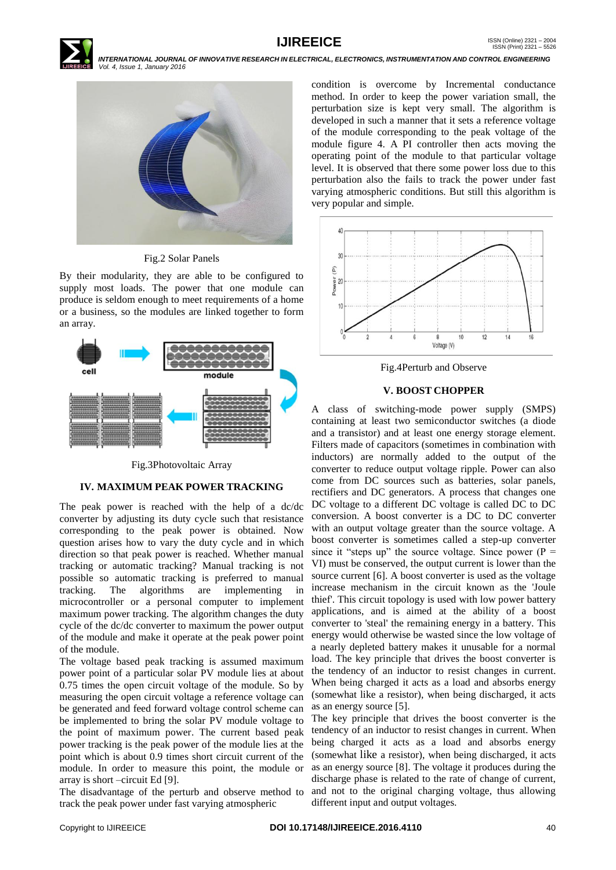

 *INTERNATIONAL JOURNAL OF INNOVATIVE RESEARCH IN ELECTRICAL, ELECTRONICS, INSTRUMENTATION AND CONTROL ENGINEERING Vol. 4, Issue 1, January 2016*



Fig.2 Solar Panels

By their modularity, they are able to be configured to supply most loads. The power that one module can produce is seldom enough to meet requirements of a home or a business, so the modules are linked together to form an array.



Fig.3Photovoltaic Array

# **IV. MAXIMUM PEAK POWER TRACKING**

The peak power is reached with the help of a dc/dc converter by adjusting its duty cycle such that resistance corresponding to the peak power is obtained. Now question arises how to vary the duty cycle and in which direction so that peak power is reached. Whether manual tracking or automatic tracking? Manual tracking is not possible so automatic tracking is preferred to manual tracking. The algorithms are implementing in microcontroller or a personal computer to implement maximum power tracking. The algorithm changes the duty cycle of the dc/dc converter to maximum the power output of the module and make it operate at the peak power point of the module.

The voltage based peak tracking is assumed maximum power point of a particular solar PV module lies at about 0.75 times the open circuit voltage of the module. So by measuring the open circuit voltage a reference voltage can be generated and feed forward voltage control scheme can be implemented to bring the solar PV module voltage to the point of maximum power. The current based peak power tracking is the peak power of the module lies at the point which is about 0.9 times short circuit current of the module. In order to measure this point, the module or array is short –circuit Ed [9].

The disadvantage of the perturb and observe method to track the peak power under fast varying atmospheric

condition is overcome by Incremental conductance method. In order to keep the power variation small, the perturbation size is kept very small. The algorithm is developed in such a manner that it sets a reference voltage of the module corresponding to the peak voltage of the module figure 4. A PI controller then acts moving the operating point of the module to that particular voltage level. It is observed that there some power loss due to this perturbation also the fails to track the power under fast varying atmospheric conditions. But still this algorithm is very popular and simple.



Fig.4Perturb and Observe

# **V. BOOST CHOPPER**

A class of switching-mode power supply (SMPS) containing at least two semiconductor switches (a diode and a transistor) and at least one energy storage element. Filters made of capacitors (sometimes in combination with inductors) are normally added to the output of the converter to reduce output voltage ripple. Power can also come from DC sources such as batteries, solar panels, rectifiers and DC generators. A process that changes one DC voltage to a different DC voltage is called DC to DC conversion. A boost converter is a DC to DC converter with an output voltage greater than the source voltage. A boost converter is sometimes called a step-up converter since it "steps up" the source voltage. Since power ( $P =$ VI) must be conserved, the output current is lower than the source current [6]. A boost converter is used as the voltage increase mechanism in the circuit known as the 'Joule thief'. This circuit topology is used with low power battery applications, and is aimed at the ability of a boost converter to 'steal' the remaining energy in a battery. This energy would otherwise be wasted since the low voltage of a nearly depleted battery makes it unusable for a normal load. The key principle that drives the boost converter is the tendency of an inductor to resist changes in current. When being charged it acts as a load and absorbs energy (somewhat like a resistor), when being discharged, it acts as an energy source [5].

The key principle that drives the boost converter is the tendency of an inductor to resist changes in current. When being charged it acts as a load and absorbs energy (somewhat like a resistor), when being discharged, it acts as an energy source [8]. The voltage it produces during the discharge phase is related to the rate of change of current, and not to the original charging voltage, thus allowing different input and output voltages.